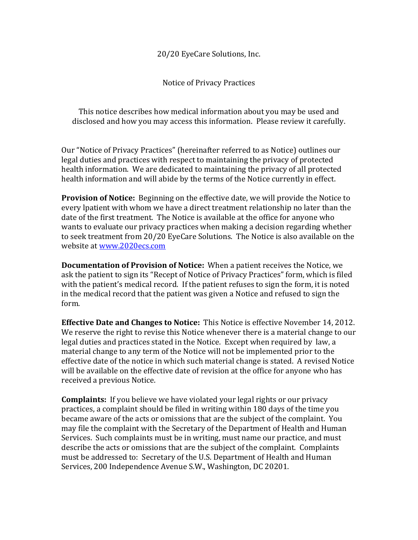20/20 EyeCare Solutions, Inc.

Notice of Privacy Practices

This notice describes how medical information about you may be used and disclosed and how you may access this information. Please review it carefully.

Our "Notice of Privacy Practices" (hereinafter referred to as Notice) outlines our legal duties and practices with respect to maintaining the privacy of protected health information. We are dedicated to maintaining the privacy of all protected health information and will abide by the terms of the Notice currently in effect.

**Provision of Notice:** Beginning on the effective date, we will provide the Notice to every lpatient with whom we have a direct treatment relationship no later than the date of the first treatment. The Notice is available at the office for anyone who wants to evaluate our privacy practices when making a decision regarding whether to seek treatment from 20/20 EyeCare Solutions. The Notice is also available on the website at www.2020ecs.com

**Documentation of Provision of Notice:** When a patient receives the Notice, we ask the patient to sign its "Recept of Notice of Privacy Practices" form, which is filed with the patient's medical record. If the patient refuses to sign the form, it is noted in the medical record that the patient was given a Notice and refused to sign the form.

**Effective Date and Changes to Notice:** This Notice is effective November 14, 2012. We reserve the right to revise this Notice whenever there is a material change to our legal duties and practices stated in the Notice. Except when required by law, a material change to any term of the Notice will not be implemented prior to the effective date of the notice in which such material change is stated. A revised Notice will be available on the effective date of revision at the office for anyone who has received a previous Notice.

**Complaints:** If you believe we have violated your legal rights or our privacy practices, a complaint should be filed in writing within 180 days of the time you became aware of the acts or omissions that are the subject of the complaint. You may file the complaint with the Secretary of the Department of Health and Human Services. Such complaints must be in writing, must name our practice, and must describe the acts or omissions that are the subject of the complaint. Complaints must be addressed to: Secretary of the U.S. Department of Health and Human Services, 200 Independence Avenue S.W., Washington, DC 20201.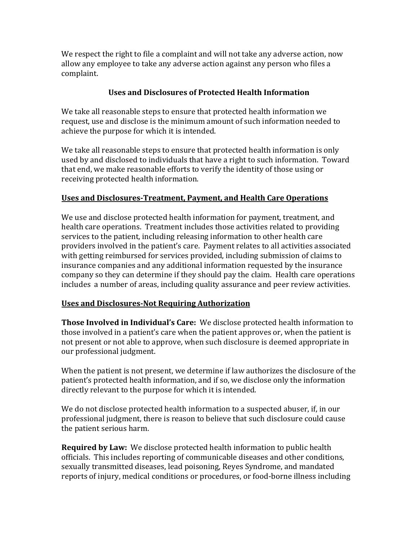We respect the right to file a complaint and will not take any adverse action, now allow any employee to take any adverse action against any person who files a complaint.

## **Uses and Disclosures of Protected Health Information**

We take all reasonable steps to ensure that protected health information we request, use and disclose is the minimum amount of such information needed to achieve the purpose for which it is intended.

We take all reasonable steps to ensure that protected health information is only used by and disclosed to individuals that have a right to such information. Toward that end, we make reasonable efforts to verify the identity of those using or receiving protected health information.

## **Uses and Disclosures-Treatment, Payment, and Health Care Operations**

We use and disclose protected health information for payment, treatment, and health care operations. Treatment includes those activities related to providing services to the patient, including releasing information to other health care providers involved in the patient's care. Payment relates to all activities associated with getting reimbursed for services provided, including submission of claims to insurance companies and any additional information requested by the insurance company so they can determine if they should pay the claim. Health care operations includes a number of areas, including quality assurance and peer review activities.

## **Uses and Disclosures-Not Requiring Authorization**

**Those Involved in Individual's Care:** We disclose protected health information to those involved in a patient's care when the patient approves or, when the patient is not present or not able to approve, when such disclosure is deemed appropriate in our professional judgment.

When the patient is not present, we determine if law authorizes the disclosure of the patient's protected health information, and if so, we disclose only the information directly relevant to the purpose for which it is intended.

We do not disclose protected health information to a suspected abuser, if, in our professional judgment, there is reason to believe that such disclosure could cause the patient serious harm.

**Required by Law:** We disclose protected health information to public health officials. This includes reporting of communicable diseases and other conditions, sexually transmitted diseases, lead poisoning, Reyes Syndrome, and mandated reports of injury, medical conditions or procedures, or food-borne illness including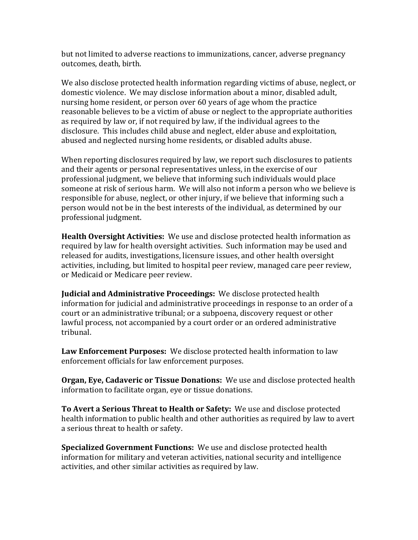but not limited to adverse reactions to immunizations, cancer, adverse pregnancy outcomes, death, birth.

We also disclose protected health information regarding victims of abuse, neglect, or domestic violence. We may disclose information about a minor, disabled adult, nursing home resident, or person over 60 years of age whom the practice reasonable believes to be a victim of abuse or neglect to the appropriate authorities as required by law or, if not required by law, if the individual agrees to the disclosure. This includes child abuse and neglect, elder abuse and exploitation, abused and neglected nursing home residents, or disabled adults abuse.

When reporting disclosures required by law, we report such disclosures to patients and their agents or personal representatives unless, in the exercise of our professional judgment, we believe that informing such individuals would place someone at risk of serious harm. We will also not inform a person who we believe is responsible for abuse, neglect, or other injury, if we believe that informing such a person would not be in the best interests of the individual, as determined by our professional judgment.

**Health Oversight Activities:** We use and disclose protected health information as required by law for health oversight activities. Such information may be used and released for audits, investigations, licensure issues, and other health oversight activities, including, but limited to hospital peer review, managed care peer review, or Medicaid or Medicare peer review.

**Judicial and Administrative Proceedings:** We disclose protected health information for judicial and administrative proceedings in response to an order of a court or an administrative tribunal; or a subpoena, discovery request or other lawful process, not accompanied by a court order or an ordered administrative tribunal.

**Law Enforcement Purposes:** We disclose protected health information to law enforcement officials for law enforcement purposes.

**Organ, Eye, Cadaveric or Tissue Donations:** We use and disclose protected health information to facilitate organ, eye or tissue donations.

**To Avert a Serious Threat to Health or Safety:** We use and disclose protected health information to public health and other authorities as required by law to avert a serious threat to health or safety.

**Specialized Government Functions:** We use and disclose protected health information for military and veteran activities, national security and intelligence activities, and other similar activities as required by law.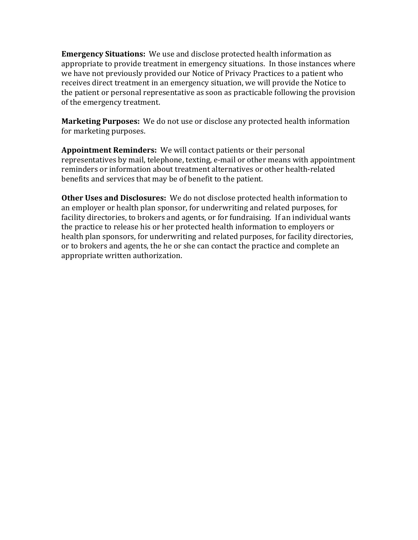**Emergency Situations:** We use and disclose protected health information as appropriate to provide treatment in emergency situations. In those instances where we have not previously provided our Notice of Privacy Practices to a patient who receives direct treatment in an emergency situation, we will provide the Notice to the patient or personal representative as soon as practicable following the provision of the emergency treatment.

**Marketing Purposes:** We do not use or disclose any protected health information for marketing purposes.

**Appointment Reminders:** We will contact patients or their personal representatives by mail, telephone, texting, e-mail or other means with appointment reminders or information about treatment alternatives or other health-related benefits and services that may be of benefit to the patient.

**Other Uses and Disclosures:** We do not disclose protected health information to an employer or health plan sponsor, for underwriting and related purposes, for facility directories, to brokers and agents, or for fundraising. If an individual wants the practice to release his or her protected health information to employers or health plan sponsors, for underwriting and related purposes, for facility directories, or to brokers and agents, the he or she can contact the practice and complete an appropriate written authorization.